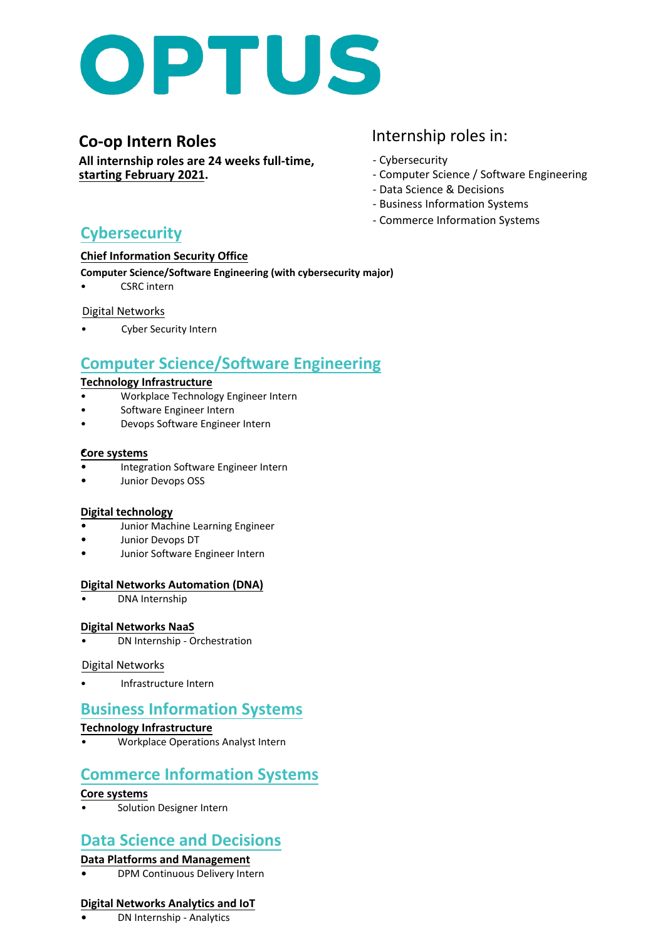

# **Co-op Intern Roles**

**All internship roles are 24 weeks full-time, starting February 2021.**

# Internship roles in:

- Cybersecurity
- Computer Science / Software Engineering
- Data Science & Decisions
	- Business Information Systems
	- Commerce Information Systems

# **Cybersecurity**

#### **Chief Information Security Office**

**Computer Science/Software Engineering (with cybersecurity major)** • CSRC intern

# Digital Networks

• Cyber Security Intern

# **Computer Science/Software Engineering**

#### **Technology Infrastructure**

- Workplace Technology Engineer Intern
- Software Engineer Intern
- Devops Software Engineer Intern

#### **Core systems** •

- Integration Software Engineer Intern
- Junior Devops OSS

### **Digital technology**

- Junior Machine Learning Engineer
- Junior Devops DT
- Junior Software Engineer Intern

### **Digital Networks Automation (DNA)**

• DNA Internship

### **Digital Networks NaaS**

• DN Internship - Orchestration

### Digital Networks

• Infrastructure Intern

# **Business Information Systems**

### **Technology Infrastructure**

• Workplace Operations Analyst Intern

# **Commerce Information Systems**

### **Core systems**

• Solution Designer Intern

# **Data Science and Decisions**

### **Data Platforms and Management**

**•** DPM Continuous Delivery Intern

### **Digital Networks Analytics and IoT**

**•** DN Internship - Analytics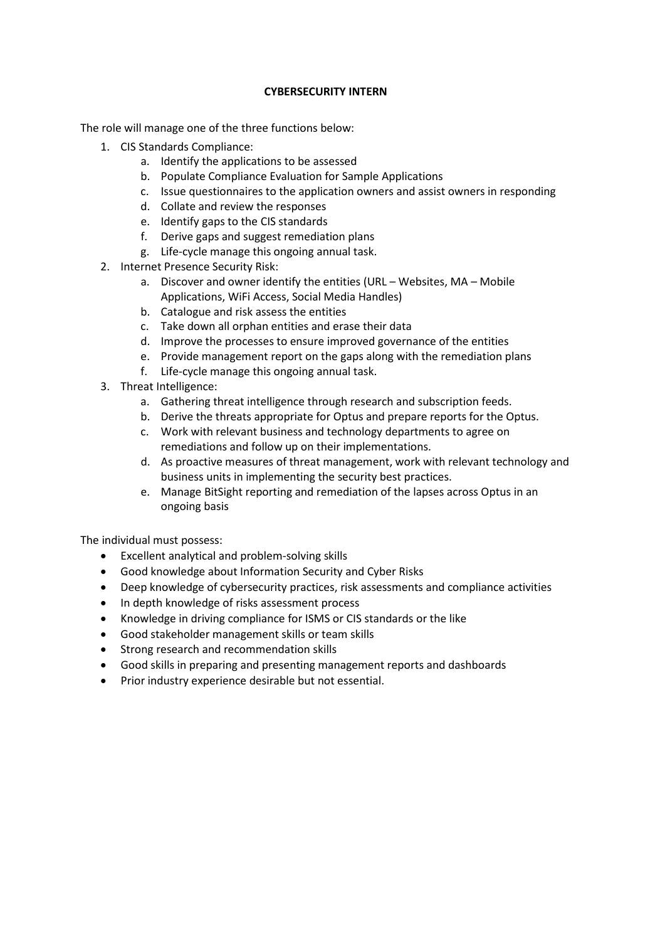#### **CYBERSECURITY INTERN**

The role will manage one of the three functions below:

- 1. CIS Standards Compliance:
	- a. Identify the applications to be assessed
	- b. Populate Compliance Evaluation for Sample Applications
	- c. Issue questionnaires to the application owners and assist owners in responding
	- d. Collate and review the responses
	- e. Identify gaps to the CIS standards
	- f. Derive gaps and suggest remediation plans
	- g. Life-cycle manage this ongoing annual task.
- 2. Internet Presence Security Risk:
	- a. Discover and owner identify the entities (URL Websites, MA Mobile Applications, WiFi Access, Social Media Handles)
	- b. Catalogue and risk assess the entities
	- c. Take down all orphan entities and erase their data
	- d. Improve the processes to ensure improved governance of the entities
	- e. Provide management report on the gaps along with the remediation plans
	- f. Life-cycle manage this ongoing annual task.
- 3. Threat Intelligence:
	- a. Gathering threat intelligence through research and subscription feeds.
	- b. Derive the threats appropriate for Optus and prepare reports for the Optus.
	- c. Work with relevant business and technology departments to agree on remediations and follow up on their implementations.
	- d. As proactive measures of threat management, work with relevant technology and business units in implementing the security best practices.
	- e. Manage BitSight reporting and remediation of the lapses across Optus in an ongoing basis

The individual must possess:

- Excellent analytical and problem-solving skills
- Good knowledge about Information Security and Cyber Risks
- Deep knowledge of cybersecurity practices, risk assessments and compliance activities
- In depth knowledge of risks assessment process
- Knowledge in driving compliance for ISMS or CIS standards or the like
- Good stakeholder management skills or team skills
- Strong research and recommendation skills
- Good skills in preparing and presenting management reports and dashboards
- Prior industry experience desirable but not essential.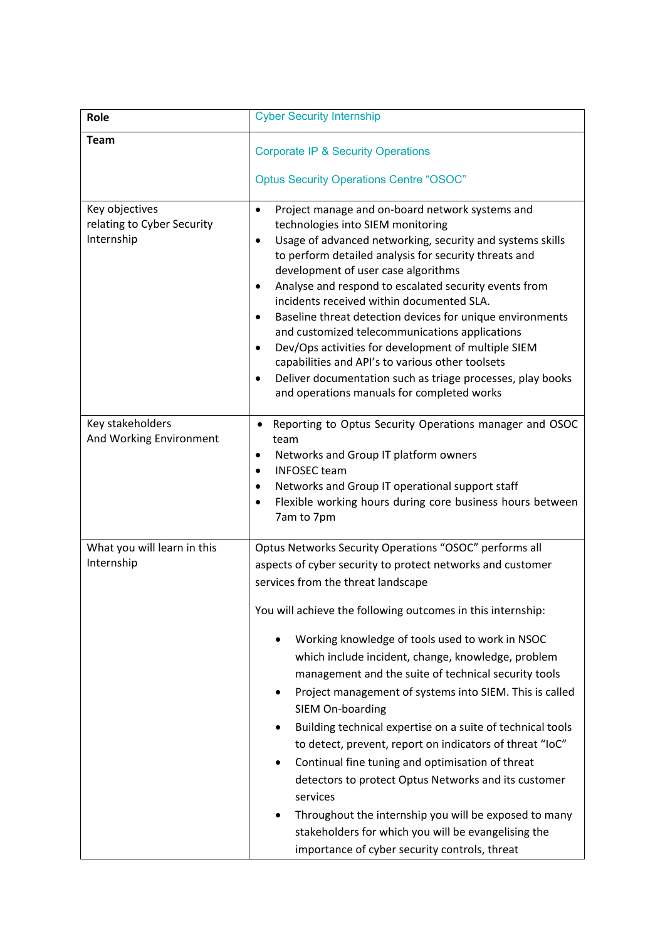| Role                                                       | <b>Cyber Security Internship</b>                                                                                                                                                                                                                                                                                                                                                                                                                                                                                                                                                                                                                                                                                                                                                                                                                                                                  |
|------------------------------------------------------------|---------------------------------------------------------------------------------------------------------------------------------------------------------------------------------------------------------------------------------------------------------------------------------------------------------------------------------------------------------------------------------------------------------------------------------------------------------------------------------------------------------------------------------------------------------------------------------------------------------------------------------------------------------------------------------------------------------------------------------------------------------------------------------------------------------------------------------------------------------------------------------------------------|
| <b>Team</b>                                                | <b>Corporate IP &amp; Security Operations</b><br><b>Optus Security Operations Centre "OSOC"</b>                                                                                                                                                                                                                                                                                                                                                                                                                                                                                                                                                                                                                                                                                                                                                                                                   |
| Key objectives<br>relating to Cyber Security<br>Internship | Project manage and on-board network systems and<br>$\bullet$<br>technologies into SIEM monitoring<br>Usage of advanced networking, security and systems skills<br>$\bullet$<br>to perform detailed analysis for security threats and<br>development of user case algorithms<br>Analyse and respond to escalated security events from<br>$\bullet$<br>incidents received within documented SLA.<br>Baseline threat detection devices for unique environments<br>$\bullet$<br>and customized telecommunications applications<br>Dev/Ops activities for development of multiple SIEM<br>$\bullet$<br>capabilities and API's to various other toolsets<br>Deliver documentation such as triage processes, play books<br>$\bullet$<br>and operations manuals for completed works                                                                                                                       |
| Key stakeholders<br>And Working Environment                | Reporting to Optus Security Operations manager and OSOC<br>٠<br>team<br>Networks and Group IT platform owners<br>٠<br><b>INFOSEC</b> team<br>$\bullet$<br>Networks and Group IT operational support staff<br>$\bullet$<br>Flexible working hours during core business hours between<br>$\bullet$<br>7am to 7pm                                                                                                                                                                                                                                                                                                                                                                                                                                                                                                                                                                                    |
| What you will learn in this<br>Internship                  | Optus Networks Security Operations "OSOC" performs all<br>aspects of cyber security to protect networks and customer<br>services from the threat landscape<br>You will achieve the following outcomes in this internship:<br>Working knowledge of tools used to work in NSOC<br>which include incident, change, knowledge, problem<br>management and the suite of technical security tools<br>Project management of systems into SIEM. This is called<br>SIEM On-boarding<br>Building technical expertise on a suite of technical tools<br>to detect, prevent, report on indicators of threat "loC"<br>Continual fine tuning and optimisation of threat<br>٠<br>detectors to protect Optus Networks and its customer<br>services<br>Throughout the internship you will be exposed to many<br>stakeholders for which you will be evangelising the<br>importance of cyber security controls, threat |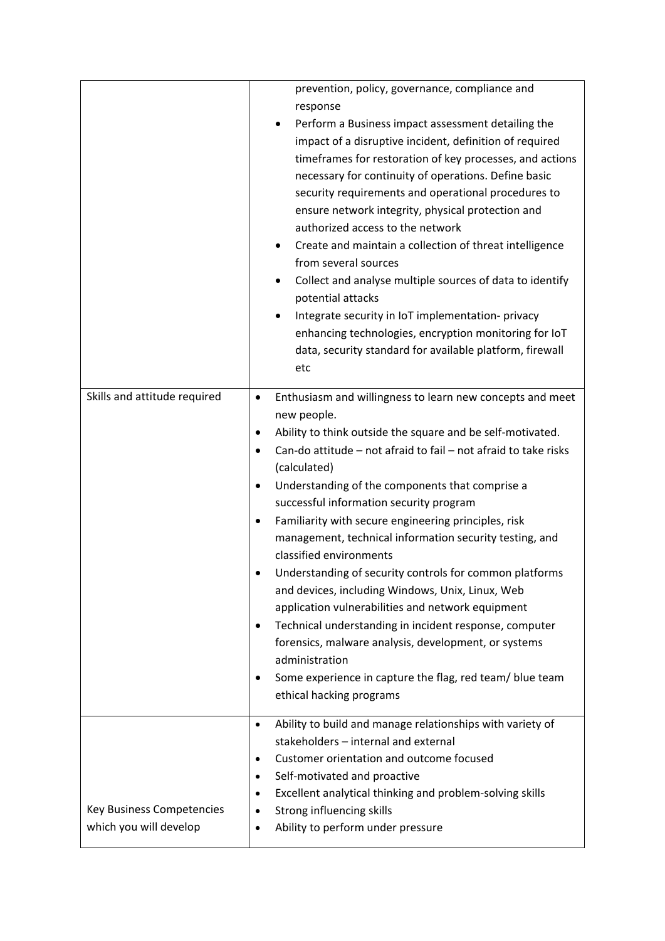|                                                            | prevention, policy, governance, compliance and<br>response<br>Perform a Business impact assessment detailing the<br>$\bullet$<br>impact of a disruptive incident, definition of required<br>timeframes for restoration of key processes, and actions<br>necessary for continuity of operations. Define basic<br>security requirements and operational procedures to<br>ensure network integrity, physical protection and<br>authorized access to the network<br>Create and maintain a collection of threat intelligence<br>from several sources<br>Collect and analyse multiple sources of data to identify<br>potential attacks<br>Integrate security in IoT implementation- privacy<br>٠<br>enhancing technologies, encryption monitoring for IoT<br>data, security standard for available platform, firewall<br>etc                                                                                                   |
|------------------------------------------------------------|--------------------------------------------------------------------------------------------------------------------------------------------------------------------------------------------------------------------------------------------------------------------------------------------------------------------------------------------------------------------------------------------------------------------------------------------------------------------------------------------------------------------------------------------------------------------------------------------------------------------------------------------------------------------------------------------------------------------------------------------------------------------------------------------------------------------------------------------------------------------------------------------------------------------------|
| Skills and attitude required                               | Enthusiasm and willingness to learn new concepts and meet<br>$\bullet$<br>new people.<br>Ability to think outside the square and be self-motivated.<br>٠<br>Can-do attitude - not afraid to fail - not afraid to take risks<br>٠<br>(calculated)<br>Understanding of the components that comprise a<br>٠<br>successful information security program<br>Familiarity with secure engineering principles, risk<br>٠<br>management, technical information security testing, and<br>classified environments<br>Understanding of security controls for common platforms<br>and devices, including Windows, Unix, Linux, Web<br>application vulnerabilities and network equipment<br>Technical understanding in incident response, computer<br>$\bullet$<br>forensics, malware analysis, development, or systems<br>administration<br>Some experience in capture the flag, red team/ blue team<br>٠<br>ethical hacking programs |
| <b>Key Business Competencies</b><br>which you will develop | Ability to build and manage relationships with variety of<br>$\bullet$<br>stakeholders - internal and external<br>Customer orientation and outcome focused<br>$\bullet$<br>Self-motivated and proactive<br>$\bullet$<br>Excellent analytical thinking and problem-solving skills<br>$\bullet$<br>Strong influencing skills<br>$\bullet$<br>Ability to perform under pressure<br>٠                                                                                                                                                                                                                                                                                                                                                                                                                                                                                                                                        |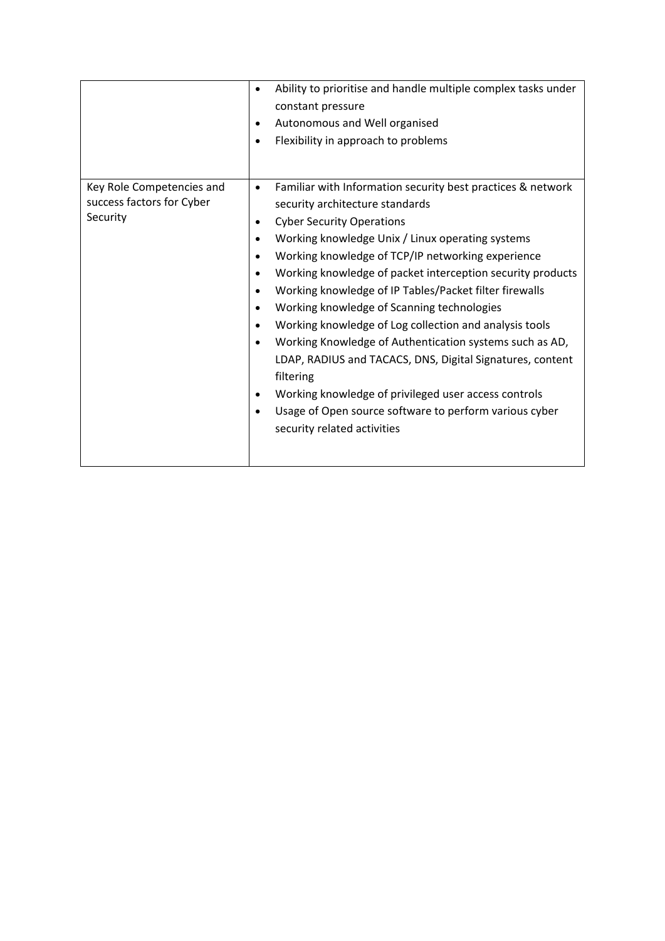|                                                                    | Ability to prioritise and handle multiple complex tasks under<br>$\bullet$<br>constant pressure<br>Autonomous and Well organised<br>$\bullet$<br>Flexibility in approach to problems                                                                                                                                                                                                                                                                                                                                                                                                                                                                                                                                                                                                                                                                                                                             |
|--------------------------------------------------------------------|------------------------------------------------------------------------------------------------------------------------------------------------------------------------------------------------------------------------------------------------------------------------------------------------------------------------------------------------------------------------------------------------------------------------------------------------------------------------------------------------------------------------------------------------------------------------------------------------------------------------------------------------------------------------------------------------------------------------------------------------------------------------------------------------------------------------------------------------------------------------------------------------------------------|
| Key Role Competencies and<br>success factors for Cyber<br>Security | Familiar with Information security best practices & network<br>$\bullet$<br>security architecture standards<br><b>Cyber Security Operations</b><br>$\bullet$<br>Working knowledge Unix / Linux operating systems<br>$\bullet$<br>Working knowledge of TCP/IP networking experience<br>$\bullet$<br>Working knowledge of packet interception security products<br>$\bullet$<br>Working knowledge of IP Tables/Packet filter firewalls<br>$\bullet$<br>Working knowledge of Scanning technologies<br>$\bullet$<br>Working knowledge of Log collection and analysis tools<br>$\bullet$<br>Working Knowledge of Authentication systems such as AD,<br>$\bullet$<br>LDAP, RADIUS and TACACS, DNS, Digital Signatures, content<br>filtering<br>Working knowledge of privileged user access controls<br>$\bullet$<br>Usage of Open source software to perform various cyber<br>$\bullet$<br>security related activities |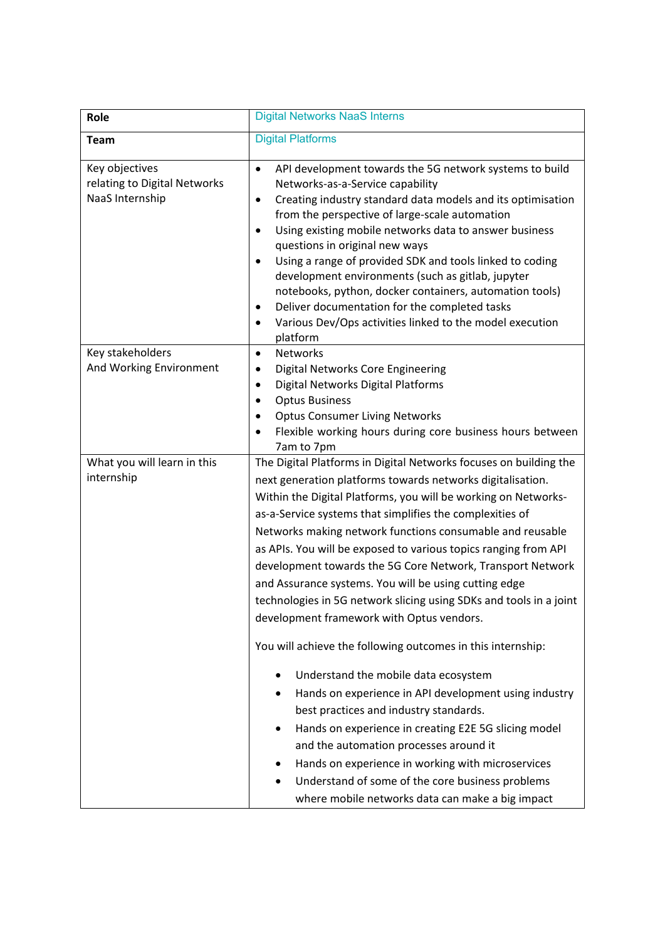| Role                                                              | <b>Digital Networks NaaS Interns</b>                                                                                                                                                                                                                                                                                                                                                                                                                                                                                                                                                                                                                                                                                                                                                                                                                                                                                                                                                                                                                                                                                       |
|-------------------------------------------------------------------|----------------------------------------------------------------------------------------------------------------------------------------------------------------------------------------------------------------------------------------------------------------------------------------------------------------------------------------------------------------------------------------------------------------------------------------------------------------------------------------------------------------------------------------------------------------------------------------------------------------------------------------------------------------------------------------------------------------------------------------------------------------------------------------------------------------------------------------------------------------------------------------------------------------------------------------------------------------------------------------------------------------------------------------------------------------------------------------------------------------------------|
| <b>Team</b>                                                       | <b>Digital Platforms</b>                                                                                                                                                                                                                                                                                                                                                                                                                                                                                                                                                                                                                                                                                                                                                                                                                                                                                                                                                                                                                                                                                                   |
| Key objectives<br>relating to Digital Networks<br>NaaS Internship | API development towards the 5G network systems to build<br>$\bullet$<br>Networks-as-a-Service capability<br>Creating industry standard data models and its optimisation<br>٠<br>from the perspective of large-scale automation<br>Using existing mobile networks data to answer business<br>$\bullet$<br>questions in original new ways<br>Using a range of provided SDK and tools linked to coding<br>$\bullet$<br>development environments (such as gitlab, jupyter<br>notebooks, python, docker containers, automation tools)<br>Deliver documentation for the completed tasks<br>$\bullet$<br>Various Dev/Ops activities linked to the model execution<br>٠<br>platform                                                                                                                                                                                                                                                                                                                                                                                                                                                |
| Key stakeholders<br>And Working Environment                       | <b>Networks</b><br>$\bullet$<br>Digital Networks Core Engineering<br>٠<br>Digital Networks Digital Platforms<br>٠<br><b>Optus Business</b><br>$\bullet$<br><b>Optus Consumer Living Networks</b><br>$\bullet$<br>Flexible working hours during core business hours between<br>٠<br>7am to 7pm                                                                                                                                                                                                                                                                                                                                                                                                                                                                                                                                                                                                                                                                                                                                                                                                                              |
| What you will learn in this<br>internship                         | The Digital Platforms in Digital Networks focuses on building the<br>next generation platforms towards networks digitalisation.<br>Within the Digital Platforms, you will be working on Networks-<br>as-a-Service systems that simplifies the complexities of<br>Networks making network functions consumable and reusable<br>as APIs. You will be exposed to various topics ranging from API<br>development towards the 5G Core Network, Transport Network<br>and Assurance systems. You will be using cutting edge<br>technologies in 5G network slicing using SDKs and tools in a joint<br>development framework with Optus vendors.<br>You will achieve the following outcomes in this internship:<br>Understand the mobile data ecosystem<br>Hands on experience in API development using industry<br>٠<br>best practices and industry standards.<br>Hands on experience in creating E2E 5G slicing model<br>٠<br>and the automation processes around it<br>Hands on experience in working with microservices<br>Understand of some of the core business problems<br>where mobile networks data can make a big impact |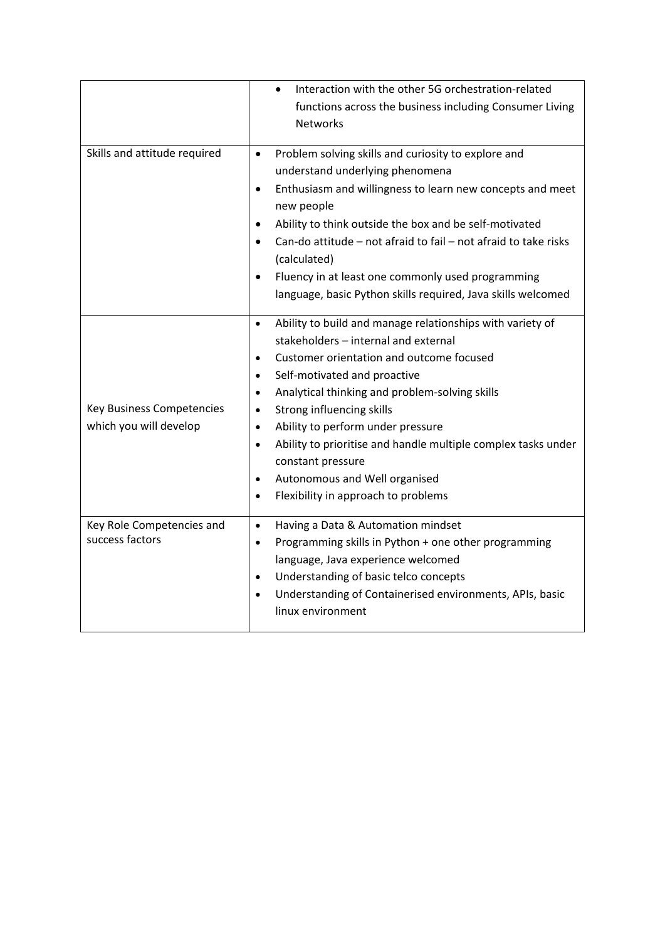|                                                            | Interaction with the other 5G orchestration-related<br>$\bullet$<br>functions across the business including Consumer Living<br><b>Networks</b>                                                                                                                                                                                                                                                                                                                                                                                                                                       |
|------------------------------------------------------------|--------------------------------------------------------------------------------------------------------------------------------------------------------------------------------------------------------------------------------------------------------------------------------------------------------------------------------------------------------------------------------------------------------------------------------------------------------------------------------------------------------------------------------------------------------------------------------------|
| Skills and attitude required                               | Problem solving skills and curiosity to explore and<br>$\bullet$<br>understand underlying phenomena<br>Enthusiasm and willingness to learn new concepts and meet<br>$\bullet$<br>new people<br>Ability to think outside the box and be self-motivated<br>$\bullet$<br>Can-do attitude - not afraid to fail - not afraid to take risks<br>$\bullet$<br>(calculated)<br>Fluency in at least one commonly used programming<br>language, basic Python skills required, Java skills welcomed                                                                                              |
| <b>Key Business Competencies</b><br>which you will develop | Ability to build and manage relationships with variety of<br>$\bullet$<br>stakeholders - internal and external<br>Customer orientation and outcome focused<br>$\bullet$<br>Self-motivated and proactive<br>$\bullet$<br>Analytical thinking and problem-solving skills<br>$\bullet$<br>Strong influencing skills<br>$\bullet$<br>Ability to perform under pressure<br>$\bullet$<br>Ability to prioritise and handle multiple complex tasks under<br>$\bullet$<br>constant pressure<br>Autonomous and Well organised<br>$\bullet$<br>Flexibility in approach to problems<br>$\bullet$ |
| Key Role Competencies and<br>success factors               | Having a Data & Automation mindset<br>$\bullet$<br>Programming skills in Python + one other programming<br>$\bullet$<br>language, Java experience welcomed<br>Understanding of basic telco concepts<br>$\bullet$<br>Understanding of Containerised environments, APIs, basic<br>$\bullet$<br>linux environment                                                                                                                                                                                                                                                                       |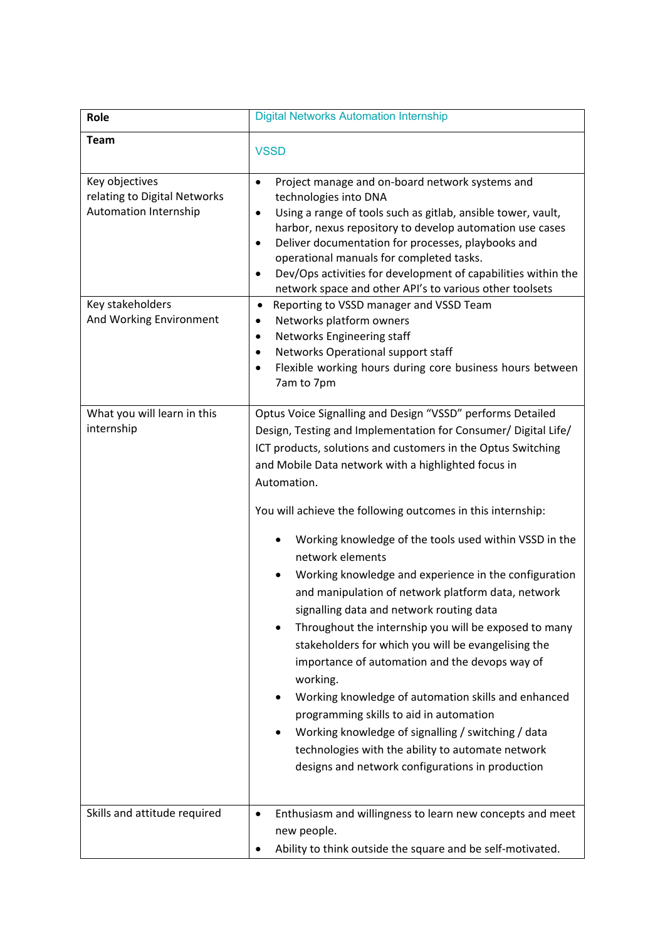| Role                                                                    | <b>Digital Networks Automation Internship</b>                                                                                                                                                                                                                                                                                                                                                                                                                                                                                                                                                                                                                                                                                                                                                                                                                                                                                                                                                                             |
|-------------------------------------------------------------------------|---------------------------------------------------------------------------------------------------------------------------------------------------------------------------------------------------------------------------------------------------------------------------------------------------------------------------------------------------------------------------------------------------------------------------------------------------------------------------------------------------------------------------------------------------------------------------------------------------------------------------------------------------------------------------------------------------------------------------------------------------------------------------------------------------------------------------------------------------------------------------------------------------------------------------------------------------------------------------------------------------------------------------|
| <b>Team</b>                                                             | <b>VSSD</b>                                                                                                                                                                                                                                                                                                                                                                                                                                                                                                                                                                                                                                                                                                                                                                                                                                                                                                                                                                                                               |
| Key objectives<br>relating to Digital Networks<br>Automation Internship | Project manage and on-board network systems and<br>$\bullet$<br>technologies into DNA<br>Using a range of tools such as gitlab, ansible tower, vault,<br>$\bullet$<br>harbor, nexus repository to develop automation use cases<br>Deliver documentation for processes, playbooks and<br>٠<br>operational manuals for completed tasks.<br>Dev/Ops activities for development of capabilities within the<br>$\bullet$<br>network space and other API's to various other toolsets                                                                                                                                                                                                                                                                                                                                                                                                                                                                                                                                            |
| Key stakeholders<br>And Working Environment                             | Reporting to VSSD manager and VSSD Team<br>$\bullet$<br>Networks platform owners<br>٠<br>Networks Engineering staff<br>٠<br>Networks Operational support staff<br>٠<br>Flexible working hours during core business hours between<br>$\bullet$<br>7am to 7pm                                                                                                                                                                                                                                                                                                                                                                                                                                                                                                                                                                                                                                                                                                                                                               |
| What you will learn in this<br>internship                               | Optus Voice Signalling and Design "VSSD" performs Detailed<br>Design, Testing and Implementation for Consumer/ Digital Life/<br>ICT products, solutions and customers in the Optus Switching<br>and Mobile Data network with a highlighted focus in<br>Automation.<br>You will achieve the following outcomes in this internship:<br>Working knowledge of the tools used within VSSD in the<br>network elements<br>Working knowledge and experience in the configuration<br>and manipulation of network platform data, network<br>signalling data and network routing data<br>Throughout the internship you will be exposed to many<br>stakeholders for which you will be evangelising the<br>importance of automation and the devops way of<br>working.<br>Working knowledge of automation skills and enhanced<br>programming skills to aid in automation<br>Working knowledge of signalling / switching / data<br>technologies with the ability to automate network<br>designs and network configurations in production |
| Skills and attitude required                                            | Enthusiasm and willingness to learn new concepts and meet<br>$\bullet$<br>new people.<br>Ability to think outside the square and be self-motivated.<br>$\bullet$                                                                                                                                                                                                                                                                                                                                                                                                                                                                                                                                                                                                                                                                                                                                                                                                                                                          |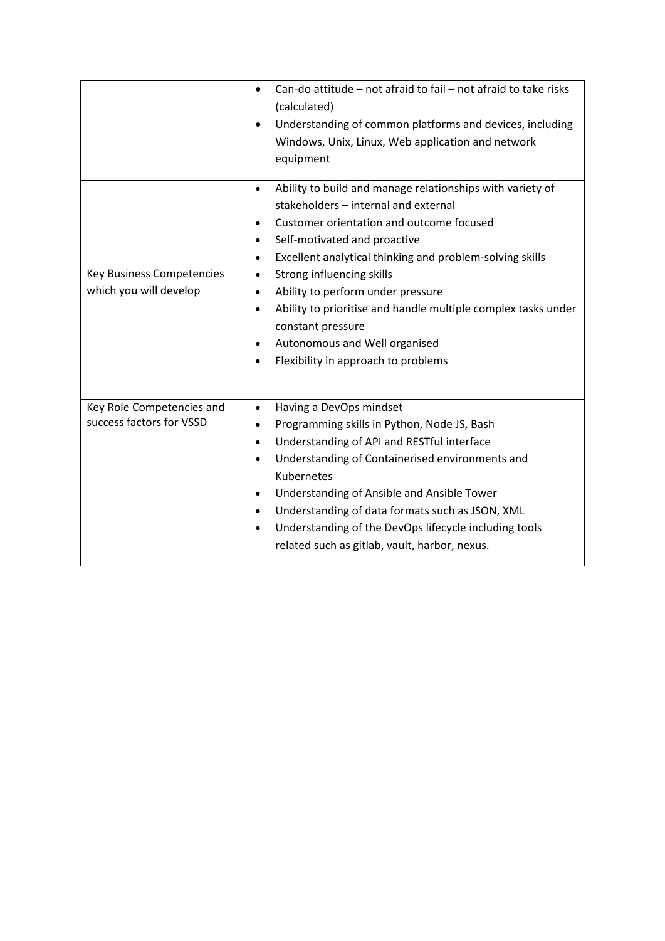|                                                            | Can-do attitude - not afraid to fail - not afraid to take risks<br>$\bullet$<br>(calculated)<br>Understanding of common platforms and devices, including<br>Windows, Unix, Linux, Web application and network<br>equipment                                                                                                                                                                                                                                                                                                                                                     |
|------------------------------------------------------------|--------------------------------------------------------------------------------------------------------------------------------------------------------------------------------------------------------------------------------------------------------------------------------------------------------------------------------------------------------------------------------------------------------------------------------------------------------------------------------------------------------------------------------------------------------------------------------|
| <b>Key Business Competencies</b><br>which you will develop | Ability to build and manage relationships with variety of<br>$\bullet$<br>stakeholders - internal and external<br>Customer orientation and outcome focused<br>$\bullet$<br>Self-motivated and proactive<br>$\bullet$<br>Excellent analytical thinking and problem-solving skills<br>$\bullet$<br>Strong influencing skills<br>٠<br>Ability to perform under pressure<br>$\bullet$<br>Ability to prioritise and handle multiple complex tasks under<br>$\bullet$<br>constant pressure<br>Autonomous and Well organised<br>٠<br>Flexibility in approach to problems<br>$\bullet$ |
| Key Role Competencies and<br>success factors for VSSD      | Having a DevOps mindset<br>$\bullet$<br>Programming skills in Python, Node JS, Bash<br>$\bullet$<br>Understanding of API and RESTful interface<br>$\bullet$<br>Understanding of Containerised environments and<br>٠<br>Kubernetes<br>Understanding of Ansible and Ansible Tower<br>$\bullet$<br>Understanding of data formats such as JSON, XML<br>$\bullet$<br>Understanding of the DevOps lifecycle including tools<br>$\bullet$<br>related such as gitlab, vault, harbor, nexus.                                                                                            |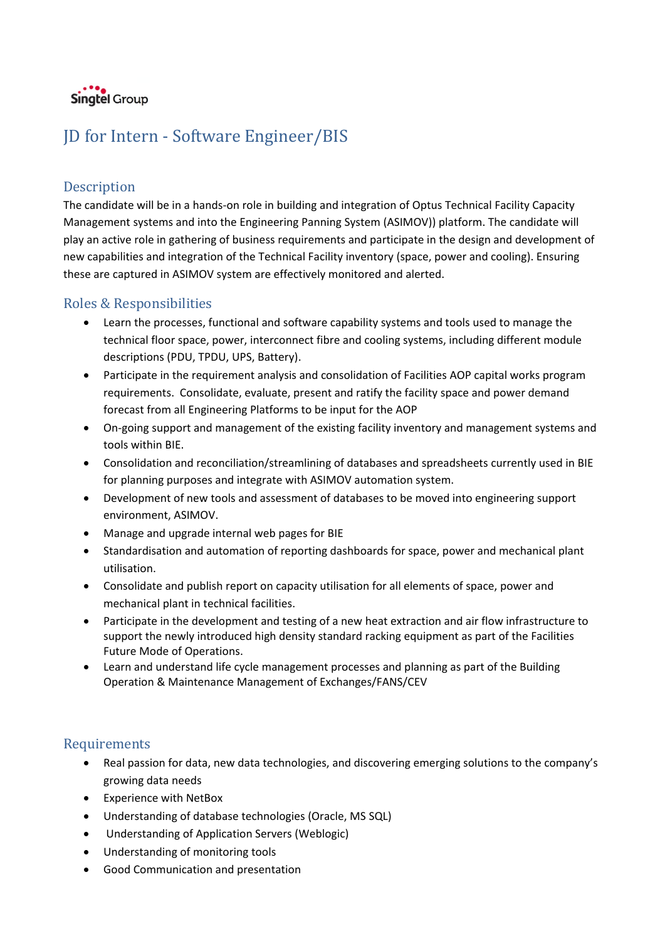

# JD for Intern - Software Engineer/BIS

## **Description**

The candidate will be in a hands-on role in building and integration of Optus Technical Facility Capacity Management systems and into the Engineering Panning System (ASIMOV)) platform. The candidate will play an active role in gathering of business requirements and participate in the design and development of new capabilities and integration of the Technical Facility inventory (space, power and cooling). Ensuring these are captured in ASIMOV system are effectively monitored and alerted.

## Roles & Responsibilities

- Learn the processes, functional and software capability systems and tools used to manage the technical floor space, power, interconnect fibre and cooling systems, including different module descriptions (PDU, TPDU, UPS, Battery).
- Participate in the requirement analysis and consolidation of Facilities AOP capital works program requirements. Consolidate, evaluate, present and ratify the facility space and power demand forecast from all Engineering Platforms to be input for the AOP
- On-going support and management of the existing facility inventory and management systems and tools within BIE.
- Consolidation and reconciliation/streamlining of databases and spreadsheets currently used in BIE for planning purposes and integrate with ASIMOV automation system.
- Development of new tools and assessment of databases to be moved into engineering support environment, ASIMOV.
- Manage and upgrade internal web pages for BIE
- Standardisation and automation of reporting dashboards for space, power and mechanical plant utilisation.
- Consolidate and publish report on capacity utilisation for all elements of space, power and mechanical plant in technical facilities.
- Participate in the development and testing of a new heat extraction and air flow infrastructure to support the newly introduced high density standard racking equipment as part of the Facilities Future Mode of Operations.
- Learn and understand life cycle management processes and planning as part of the Building Operation & Maintenance Management of Exchanges/FANS/CEV

- Real passion for data, new data technologies, and discovering emerging solutions to the company's growing data needs
- Experience with NetBox
- Understanding of database technologies (Oracle, MS SQL)
- Understanding of Application Servers (Weblogic)
- Understanding of monitoring tools
- Good Communication and presentation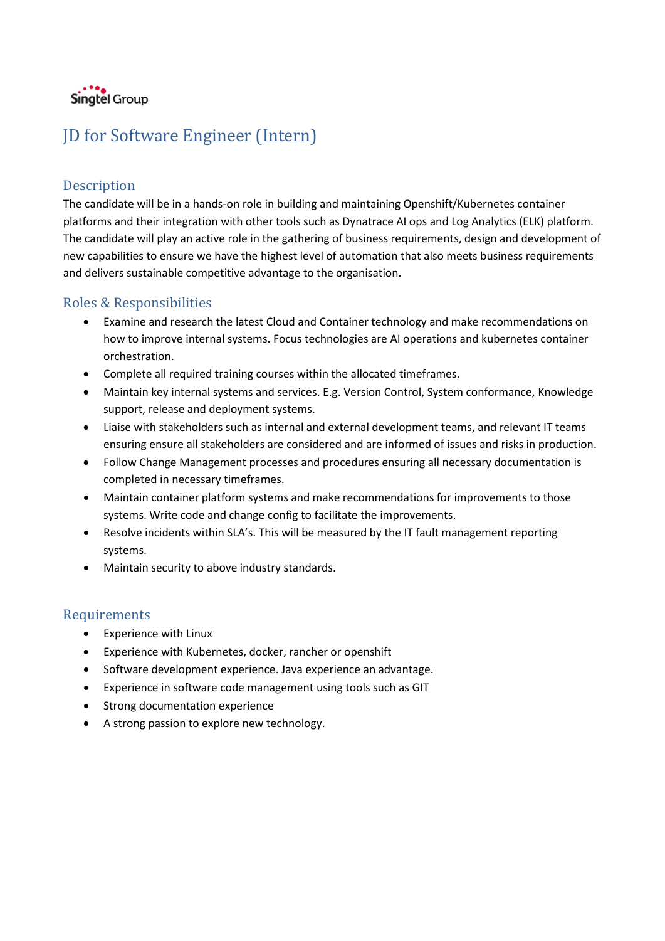

# JD for Software Engineer (Intern)

## Description

The candidate will be in a hands-on role in building and maintaining Openshift/Kubernetes container platforms and their integration with other tools such as Dynatrace AI ops and Log Analytics (ELK) platform. The candidate will play an active role in the gathering of business requirements, design and development of new capabilities to ensure we have the highest level of automation that also meets business requirements and delivers sustainable competitive advantage to the organisation.

## Roles & Responsibilities

- Examine and research the latest Cloud and Container technology and make recommendations on how to improve internal systems. Focus technologies are AI operations and kubernetes container orchestration.
- Complete all required training courses within the allocated timeframes.
- Maintain key internal systems and services. E.g. Version Control, System conformance, Knowledge support, release and deployment systems.
- Liaise with stakeholders such as internal and external development teams, and relevant IT teams ensuring ensure all stakeholders are considered and are informed of issues and risks in production.
- Follow Change Management processes and procedures ensuring all necessary documentation is completed in necessary timeframes.
- Maintain container platform systems and make recommendations for improvements to those systems. Write code and change config to facilitate the improvements.
- Resolve incidents within SLA's. This will be measured by the IT fault management reporting systems.
- Maintain security to above industry standards.

- Experience with Linux
- Experience with Kubernetes, docker, rancher or openshift
- Software development experience. Java experience an advantage.
- Experience in software code management using tools such as GIT
- Strong documentation experience
- A strong passion to explore new technology.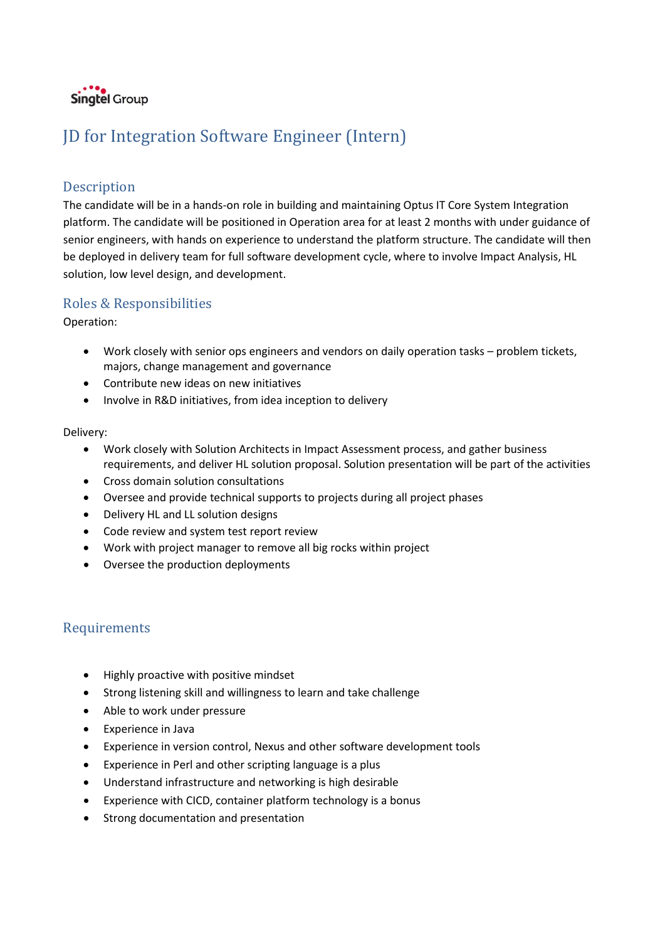

# JD for Integration Software Engineer (Intern)

### Description

The candidate will be in a hands-on role in building and maintaining Optus IT Core System Integration platform. The candidate will be positioned in Operation area for at least 2 months with under guidance of senior engineers, with hands on experience to understand the platform structure. The candidate will then be deployed in delivery team for full software development cycle, where to involve Impact Analysis, HL solution, low level design, and development.

### Roles & Responsibilities

Operation:

- Work closely with senior ops engineers and vendors on daily operation tasks problem tickets, majors, change management and governance
- Contribute new ideas on new initiatives
- Involve in R&D initiatives, from idea inception to delivery

#### Delivery:

- Work closely with Solution Architects in Impact Assessment process, and gather business requirements, and deliver HL solution proposal. Solution presentation will be part of the activities
- Cross domain solution consultations
- Oversee and provide technical supports to projects during all project phases
- Delivery HL and LL solution designs
- Code review and system test report review
- Work with project manager to remove all big rocks within project
- Oversee the production deployments

- Highly proactive with positive mindset
- Strong listening skill and willingness to learn and take challenge
- Able to work under pressure
- Experience in Java
- Experience in version control, Nexus and other software development tools
- Experience in Perl and other scripting language is a plus
- Understand infrastructure and networking is high desirable
- Experience with CICD, container platform technology is a bonus
- Strong documentation and presentation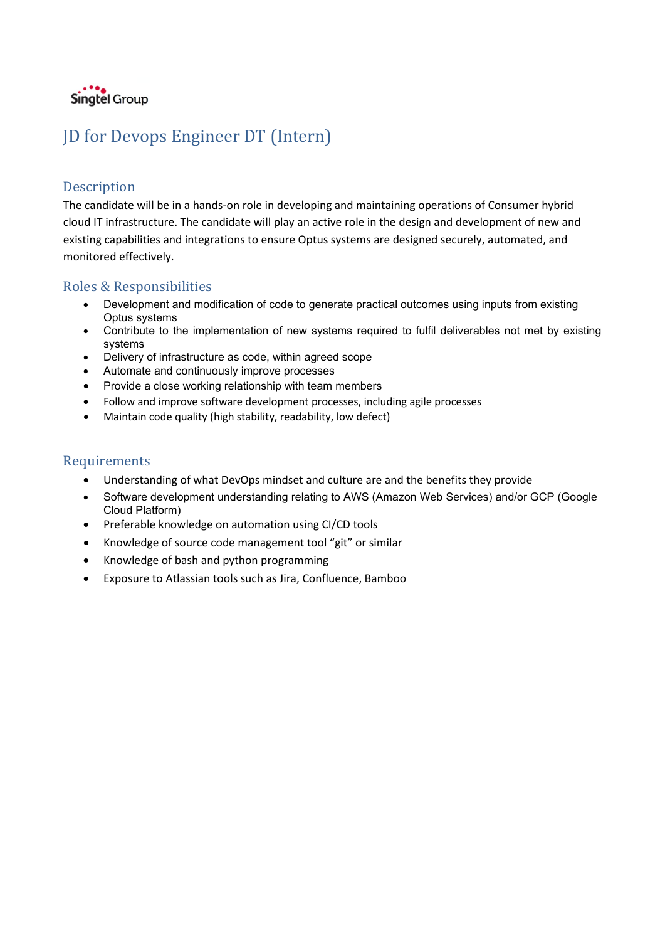

# JD for Devops Engineer DT (Intern)

### Description

The candidate will be in a hands-on role in developing and maintaining operations of Consumer hybrid cloud IT infrastructure. The candidate will play an active role in the design and development of new and existing capabilities and integrations to ensure Optus systems are designed securely, automated, and monitored effectively.

### Roles & Responsibilities

- Development and modification of code to generate practical outcomes using inputs from existing Optus systems
- Contribute to the implementation of new systems required to fulfil deliverables not met by existing systems
- Delivery of infrastructure as code, within agreed scope
- Automate and continuously improve processes
- Provide a close working relationship with team members
- Follow and improve software development processes, including agile processes
- Maintain code quality (high stability, readability, low defect)

- Understanding of what DevOps mindset and culture are and the benefits they provide
- Software development understanding relating to AWS (Amazon Web Services) and/or GCP (Google Cloud Platform)
- Preferable knowledge on automation using CI/CD tools
- Knowledge of source code management tool "git" or similar
- Knowledge of bash and python programming
- Exposure to Atlassian tools such as Jira, Confluence, Bamboo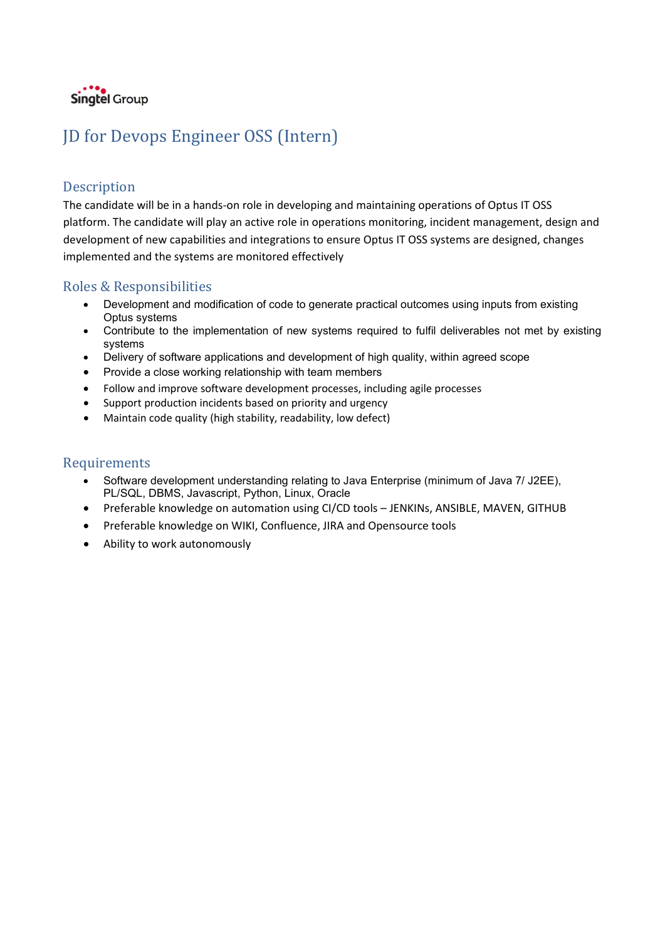

# JD for Devops Engineer OSS (Intern)

### Description

The candidate will be in a hands-on role in developing and maintaining operations of Optus IT OSS platform. The candidate will play an active role in operations monitoring, incident management, design and development of new capabilities and integrations to ensure Optus IT OSS systems are designed, changes implemented and the systems are monitored effectively

### Roles & Responsibilities

- Development and modification of code to generate practical outcomes using inputs from existing Optus systems
- Contribute to the implementation of new systems required to fulfil deliverables not met by existing systems
- Delivery of software applications and development of high quality, within agreed scope
- Provide a close working relationship with team members
- Follow and improve software development processes, including agile processes
- Support production incidents based on priority and urgency
- Maintain code quality (high stability, readability, low defect)

- Software development understanding relating to Java Enterprise (minimum of Java 7/ J2EE), PL/SQL, DBMS, Javascript, Python, Linux, Oracle
- Preferable knowledge on automation using CI/CD tools JENKINs, ANSIBLE, MAVEN, GITHUB
- Preferable knowledge on WIKI, Confluence, JIRA and Opensource tools
- Ability to work autonomously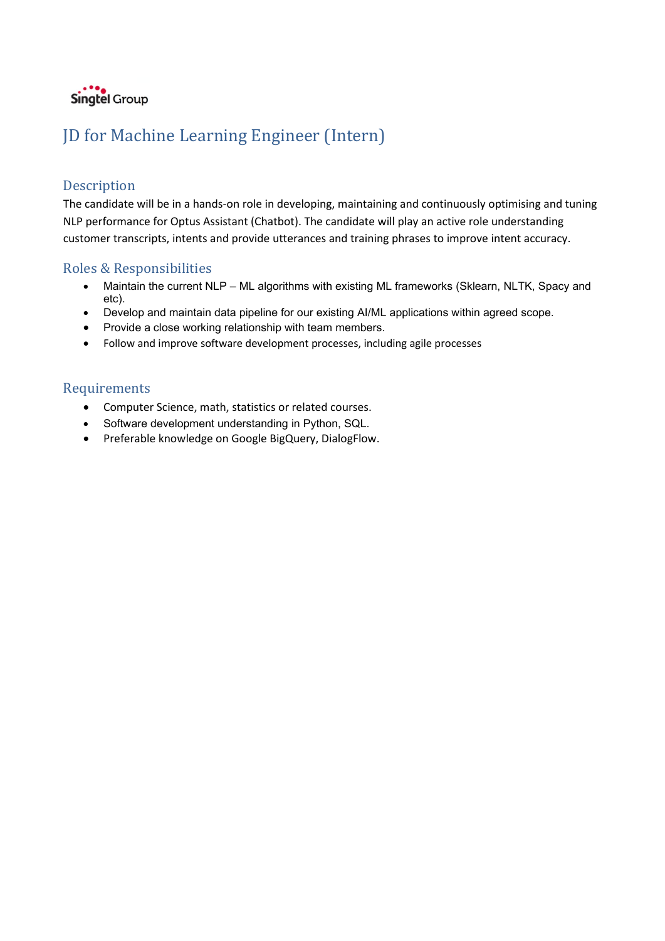

# JD for Machine Learning Engineer (Intern)

### Description

The candidate will be in a hands-on role in developing, maintaining and continuously optimising and tuning NLP performance for Optus Assistant (Chatbot). The candidate will play an active role understanding customer transcripts, intents and provide utterances and training phrases to improve intent accuracy.

### Roles & Responsibilities

- Maintain the current NLP ML algorithms with existing ML frameworks (Sklearn, NLTK, Spacy and etc).
- Develop and maintain data pipeline for our existing AI/ML applications within agreed scope.
- Provide a close working relationship with team members.
- Follow and improve software development processes, including agile processes

- Computer Science, math, statistics or related courses.
- Software development understanding in Python, SQL.
- Preferable knowledge on Google BigQuery, DialogFlow.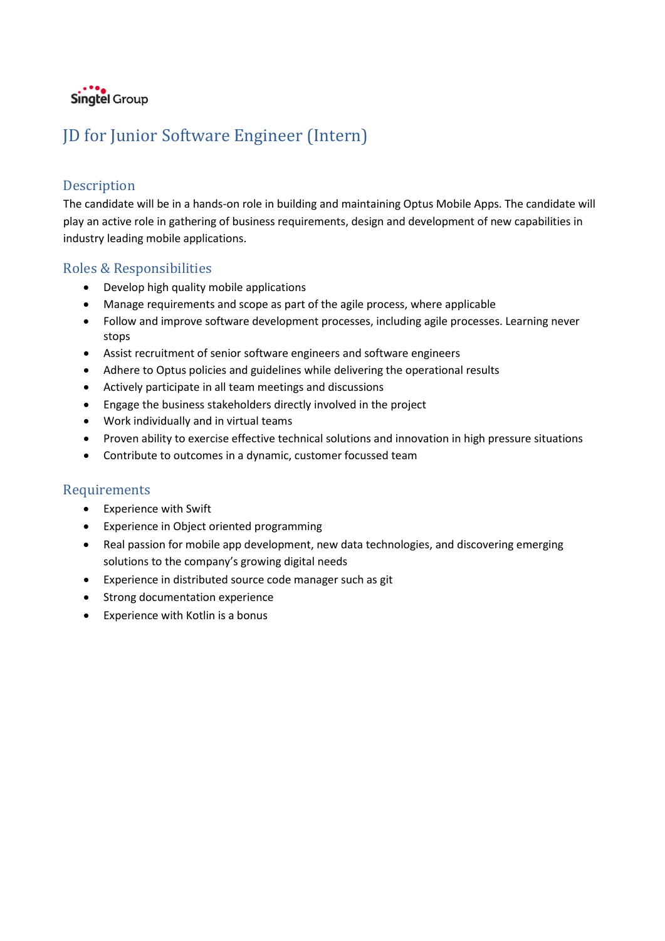

# JD for Junior Software Engineer (Intern)

## Description

The candidate will be in a hands-on role in building and maintaining Optus Mobile Apps. The candidate will play an active role in gathering of business requirements, design and development of new capabilities in industry leading mobile applications.

### Roles & Responsibilities

- Develop high quality mobile applications
- Manage requirements and scope as part of the agile process, where applicable
- Follow and improve software development processes, including agile processes. Learning never stops
- Assist recruitment of senior software engineers and software engineers
- Adhere to Optus policies and guidelines while delivering the operational results
- Actively participate in all team meetings and discussions
- Engage the business stakeholders directly involved in the project
- Work individually and in virtual teams
- Proven ability to exercise effective technical solutions and innovation in high pressure situations
- Contribute to outcomes in a dynamic, customer focussed team

- Experience with Swift
- Experience in Object oriented programming
- Real passion for mobile app development, new data technologies, and discovering emerging solutions to the company's growing digital needs
- Experience in distributed source code manager such as git
- Strong documentation experience
- Experience with Kotlin is a bonus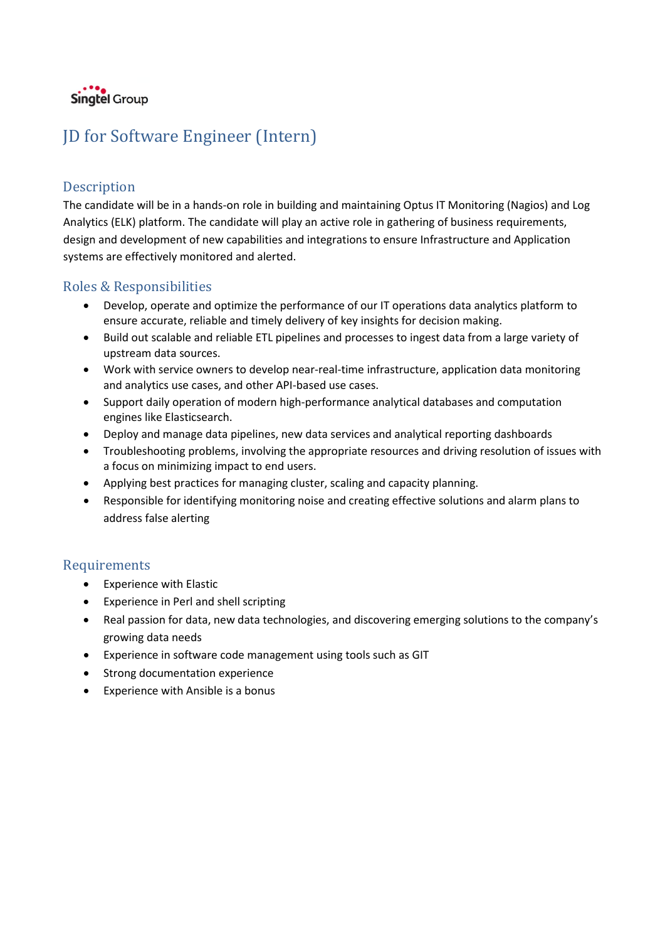

# JD for Software Engineer (Intern)

### **Description**

The candidate will be in a hands-on role in building and maintaining Optus IT Monitoring (Nagios) and Log Analytics (ELK) platform. The candidate will play an active role in gathering of business requirements, design and development of new capabilities and integrations to ensure Infrastructure and Application systems are effectively monitored and alerted.

### Roles & Responsibilities

- Develop, operate and optimize the performance of our IT operations data analytics platform to ensure accurate, reliable and timely delivery of key insights for decision making.
- Build out scalable and reliable ETL pipelines and processes to ingest data from a large variety of upstream data sources.
- Work with service owners to develop near-real-time infrastructure, application data monitoring and analytics use cases, and other API-based use cases.
- Support daily operation of modern high-performance analytical databases and computation engines like Elasticsearch.
- Deploy and manage data pipelines, new data services and analytical reporting dashboards
- Troubleshooting problems, involving the appropriate resources and driving resolution of issues with a focus on minimizing impact to end users.
- Applying best practices for managing cluster, scaling and capacity planning.
- Responsible for identifying monitoring noise and creating effective solutions and alarm plans to address false alerting

- Experience with Elastic
- Experience in Perl and shell scripting
- Real passion for data, new data technologies, and discovering emerging solutions to the company's growing data needs
- Experience in software code management using tools such as GIT
- Strong documentation experience
- Experience with Ansible is a bonus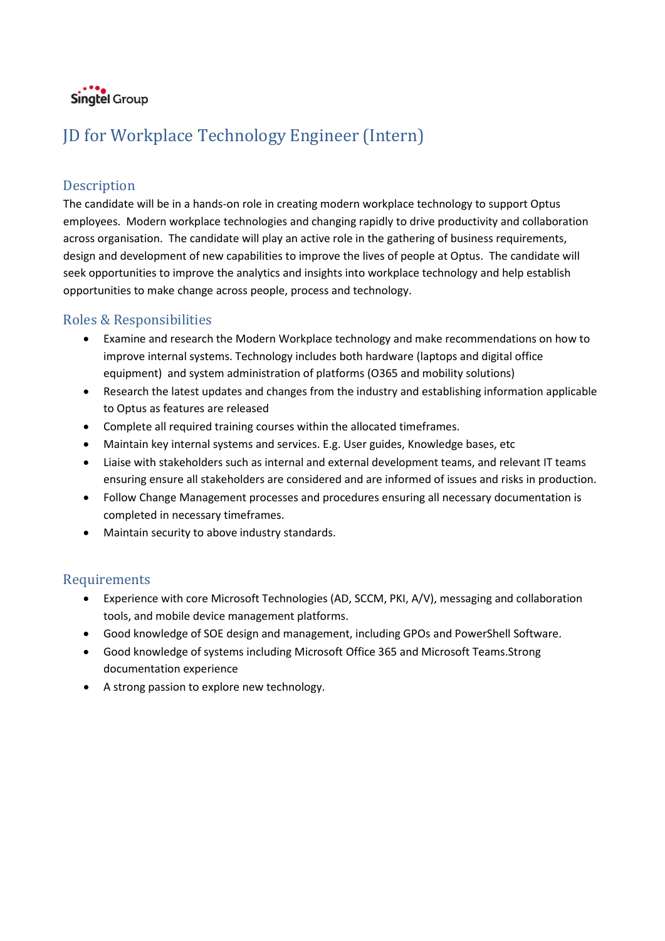

# JD for Workplace Technology Engineer (Intern)

### Description

The candidate will be in a hands-on role in creating modern workplace technology to support Optus employees. Modern workplace technologies and changing rapidly to drive productivity and collaboration across organisation. The candidate will play an active role in the gathering of business requirements, design and development of new capabilities to improve the lives of people at Optus. The candidate will seek opportunities to improve the analytics and insights into workplace technology and help establish opportunities to make change across people, process and technology.

## Roles & Responsibilities

- Examine and research the Modern Workplace technology and make recommendations on how to improve internal systems. Technology includes both hardware (laptops and digital office equipment) and system administration of platforms (O365 and mobility solutions)
- Research the latest updates and changes from the industry and establishing information applicable to Optus as features are released
- Complete all required training courses within the allocated timeframes.
- Maintain key internal systems and services. E.g. User guides, Knowledge bases, etc
- Liaise with stakeholders such as internal and external development teams, and relevant IT teams ensuring ensure all stakeholders are considered and are informed of issues and risks in production.
- Follow Change Management processes and procedures ensuring all necessary documentation is completed in necessary timeframes.
- Maintain security to above industry standards.

- Experience with core Microsoft Technologies (AD, SCCM, PKI, A/V), messaging and collaboration tools, and mobile device management platforms.
- Good knowledge of SOE design and management, including GPOs and PowerShell Software.
- Good knowledge of systems including Microsoft Office 365 and Microsoft Teams.Strong documentation experience
- A strong passion to explore new technology.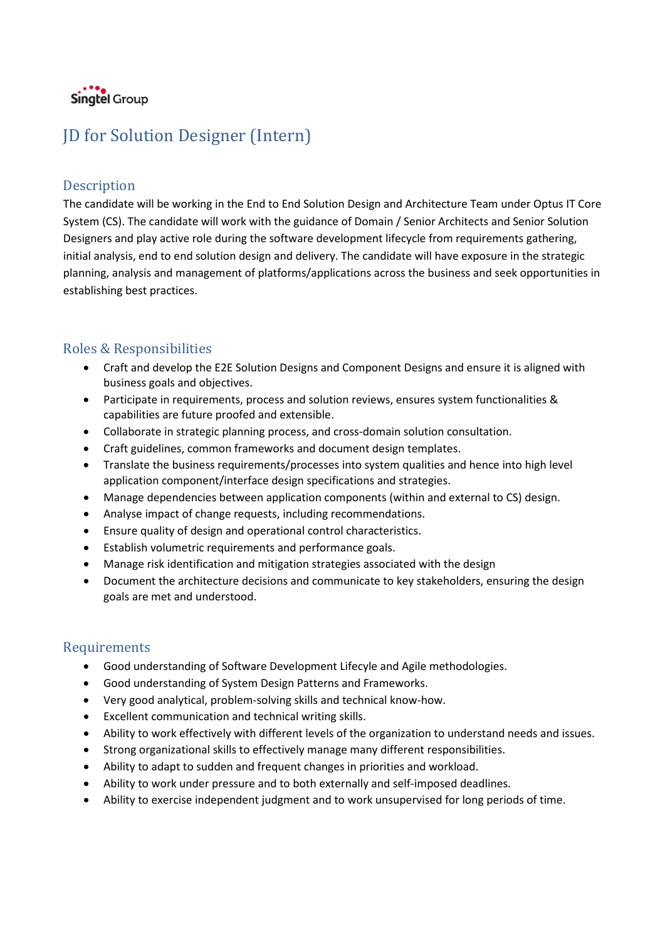

# JD for Solution Designer (Intern)

### Description

The candidate will be working in the End to End Solution Design and Architecture Team under Optus IT Core System (CS). The candidate will work with the guidance of Domain / Senior Architects and Senior Solution Designers and play active role during the software development lifecycle from requirements gathering, initial analysis, end to end solution design and delivery. The candidate will have exposure in the strategic planning, analysis and management of platforms/applications across the business and seek opportunities in establishing best practices.

## Roles & Responsibilities

- Craft and develop the E2E Solution Designs and Component Designs and ensure it is aligned with business goals and objectives.
- Participate in requirements, process and solution reviews, ensures system functionalities & capabilities are future proofed and extensible.
- Collaborate in strategic planning process, and cross-domain solution consultation.
- Craft guidelines, common frameworks and document design templates.
- Translate the business requirements/processes into system qualities and hence into high level application component/interface design specifications and strategies.
- Manage dependencies between application components (within and external to CS) design.
- Analyse impact of change requests, including recommendations.
- Ensure quality of design and operational control characteristics.
- Establish volumetric requirements and performance goals.
- Manage risk identification and mitigation strategies associated with the design
- Document the architecture decisions and communicate to key stakeholders, ensuring the design goals are met and understood.

- Good understanding of Software Development Lifecyle and Agile methodologies.
- Good understanding of System Design Patterns and Frameworks.
- Very good analytical, problem-solving skills and technical know-how.
- Excellent communication and technical writing skills.
- Ability to work effectively with different levels of the organization to understand needs and issues.
- Strong organizational skills to effectively manage many different responsibilities.
- Ability to adapt to sudden and frequent changes in priorities and workload.
- Ability to work under pressure and to both externally and self-imposed deadlines.
- Ability to exercise independent judgment and to work unsupervised for long periods of time.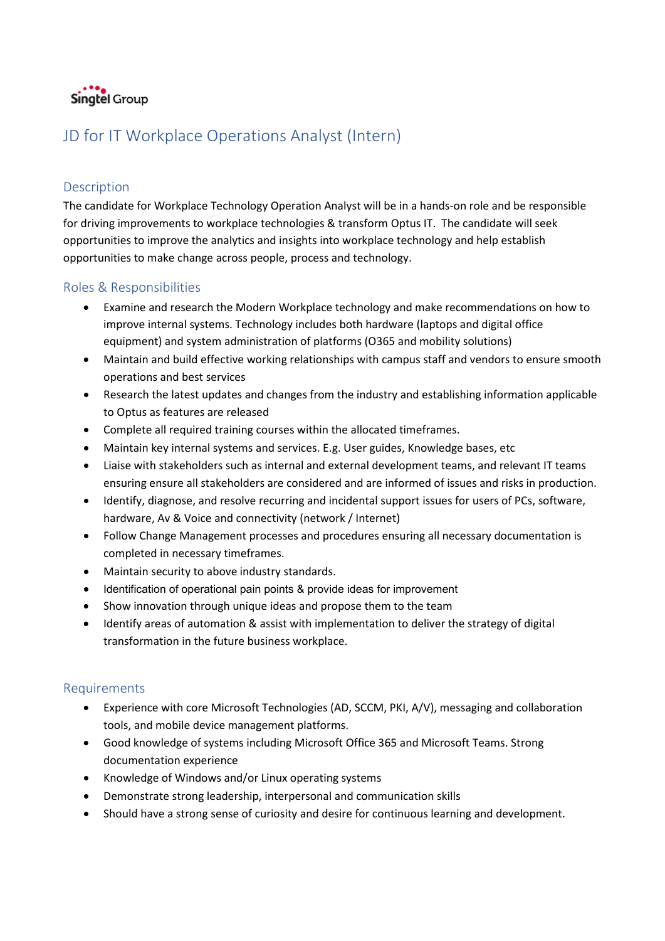

# JD for IT Workplace Operations Analyst (Intern)

### Description

The candidate for Workplace Technology Operation Analyst will be in a hands-on role and be responsible for driving improvements to workplace technologies & transform Optus IT. The candidate will seek opportunities to improve the analytics and insights into workplace technology and help establish opportunities to make change across people, process and technology.

### Roles & Responsibilities

- Examine and research the Modern Workplace technology and make recommendations on how to improve internal systems. Technology includes both hardware (laptops and digital office equipment) and system administration of platforms (O365 and mobility solutions)
- Maintain and build effective working relationships with campus staff and vendors to ensure smooth operations and best services
- Research the latest updates and changes from the industry and establishing information applicable to Optus as features are released
- Complete all required training courses within the allocated timeframes.
- Maintain key internal systems and services. E.g. User guides, Knowledge bases, etc
- Liaise with stakeholders such as internal and external development teams, and relevant IT teams ensuring ensure all stakeholders are considered and are informed of issues and risks in production.
- Identify, diagnose, and resolve recurring and incidental support issues for users of PCs, software, hardware, Av & Voice and connectivity (network / Internet)
- Follow Change Management processes and procedures ensuring all necessary documentation is completed in necessary timeframes.
- Maintain security to above industry standards.
- Identification of operational pain points & provide ideas for improvement
- Show innovation through unique ideas and propose them to the team
- Identify areas of automation & assist with implementation to deliver the strategy of digital transformation in the future business workplace.

- Experience with core Microsoft Technologies (AD, SCCM, PKI, A/V), messaging and collaboration tools, and mobile device management platforms.
- Good knowledge of systems including Microsoft Office 365 and Microsoft Teams. Strong documentation experience
- Knowledge of Windows and/or Linux operating systems
- Demonstrate strong leadership, interpersonal and communication skills
- Should have a strong sense of curiosity and desire for continuous learning and development.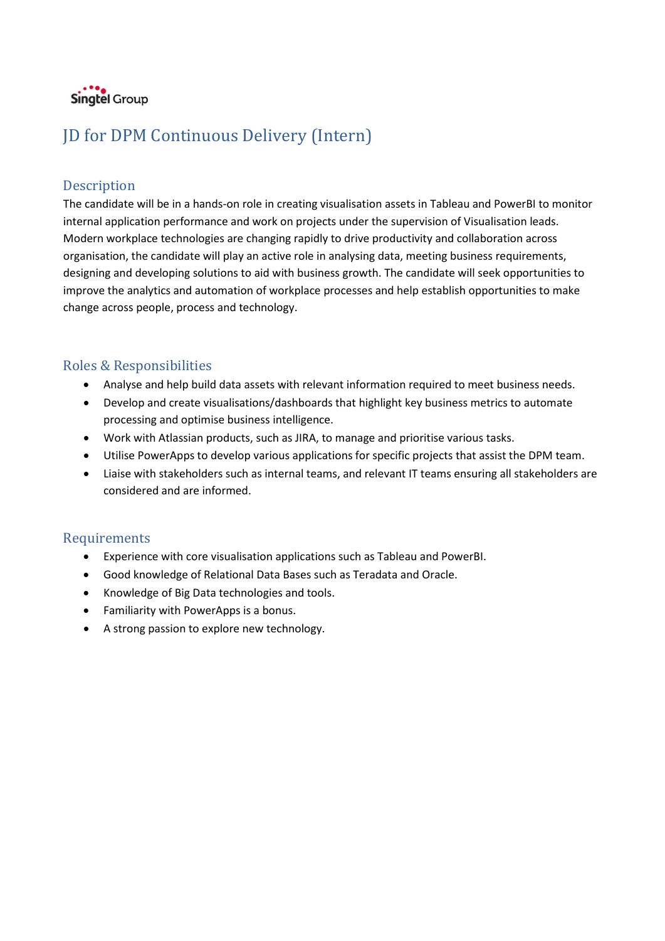

# JD for DPM Continuous Delivery (Intern)

### Description

The candidate will be in a hands-on role in creating visualisation assets in Tableau and PowerBI to monitor internal application performance and work on projects under the supervision of Visualisation leads. Modern workplace technologies are changing rapidly to drive productivity and collaboration across organisation, the candidate will play an active role in analysing data, meeting business requirements, designing and developing solutions to aid with business growth. The candidate will seek opportunities to improve the analytics and automation of workplace processes and help establish opportunities to make change across people, process and technology.

### Roles & Responsibilities

- Analyse and help build data assets with relevant information required to meet business needs.
- Develop and create visualisations/dashboards that highlight key business metrics to automate processing and optimise business intelligence.
- Work with Atlassian products, such as JIRA, to manage and prioritise various tasks.
- Utilise PowerApps to develop various applications for specific projects that assist the DPM team.
- Liaise with stakeholders such as internal teams, and relevant IT teams ensuring all stakeholders are considered and are informed.

- Experience with core visualisation applications such as Tableau and PowerBI.
- Good knowledge of Relational Data Bases such as Teradata and Oracle.
- Knowledge of Big Data technologies and tools.
- Familiarity with PowerApps is a bonus.
- A strong passion to explore new technology.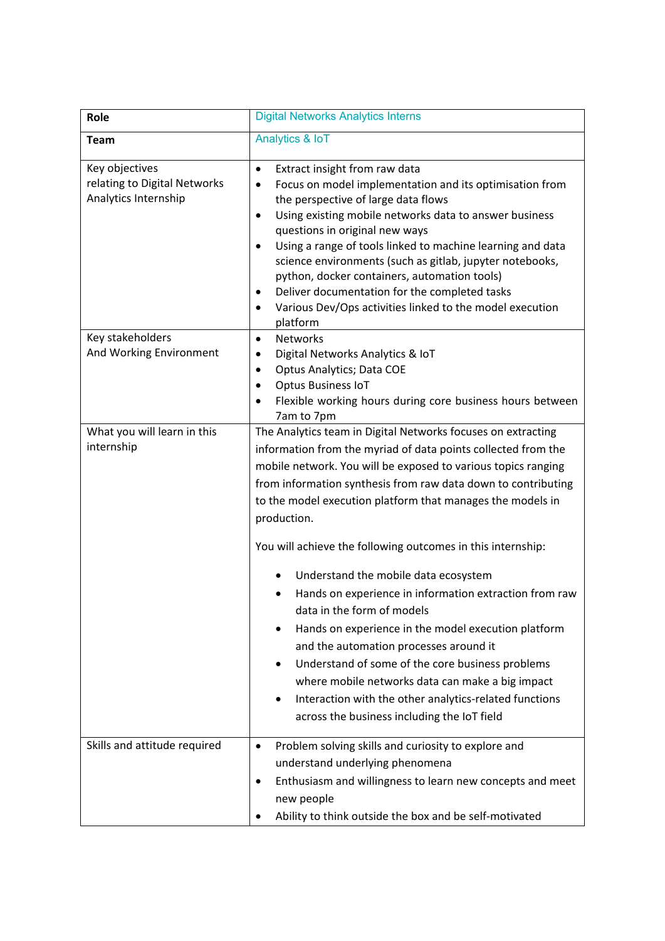| Role                                                                   | <b>Digital Networks Analytics Interns</b>                                                                                                                                                                                                                                                                                                                                                                                                                                                                                                                                                                                                                                                                                                                                                                                                                     |
|------------------------------------------------------------------------|---------------------------------------------------------------------------------------------------------------------------------------------------------------------------------------------------------------------------------------------------------------------------------------------------------------------------------------------------------------------------------------------------------------------------------------------------------------------------------------------------------------------------------------------------------------------------------------------------------------------------------------------------------------------------------------------------------------------------------------------------------------------------------------------------------------------------------------------------------------|
| <b>Team</b>                                                            | Analytics & IoT                                                                                                                                                                                                                                                                                                                                                                                                                                                                                                                                                                                                                                                                                                                                                                                                                                               |
| Key objectives<br>relating to Digital Networks<br>Analytics Internship | Extract insight from raw data<br>$\bullet$<br>Focus on model implementation and its optimisation from<br>$\bullet$<br>the perspective of large data flows<br>Using existing mobile networks data to answer business<br>$\bullet$<br>questions in original new ways<br>Using a range of tools linked to machine learning and data<br>$\bullet$<br>science environments (such as gitlab, jupyter notebooks,<br>python, docker containers, automation tools)<br>Deliver documentation for the completed tasks<br>$\bullet$<br>Various Dev/Ops activities linked to the model execution<br>$\bullet$<br>platform                                                                                                                                                                                                                                                  |
| Key stakeholders<br>And Working Environment                            | <b>Networks</b><br>$\bullet$<br>Digital Networks Analytics & IoT<br>٠<br>Optus Analytics; Data COE<br>٠<br>Optus Business IoT<br>Flexible working hours during core business hours between<br>$\bullet$<br>7am to 7pm                                                                                                                                                                                                                                                                                                                                                                                                                                                                                                                                                                                                                                         |
| What you will learn in this<br>internship                              | The Analytics team in Digital Networks focuses on extracting<br>information from the myriad of data points collected from the<br>mobile network. You will be exposed to various topics ranging<br>from information synthesis from raw data down to contributing<br>to the model execution platform that manages the models in<br>production.<br>You will achieve the following outcomes in this internship:<br>Understand the mobile data ecosystem<br>Hands on experience in information extraction from raw<br>data in the form of models<br>Hands on experience in the model execution platform<br>and the automation processes around it<br>Understand of some of the core business problems<br>where mobile networks data can make a big impact<br>Interaction with the other analytics-related functions<br>across the business including the IoT field |
| Skills and attitude required                                           | Problem solving skills and curiosity to explore and<br>$\bullet$<br>understand underlying phenomena<br>Enthusiasm and willingness to learn new concepts and meet<br>٠<br>new people<br>Ability to think outside the box and be self-motivated                                                                                                                                                                                                                                                                                                                                                                                                                                                                                                                                                                                                                 |